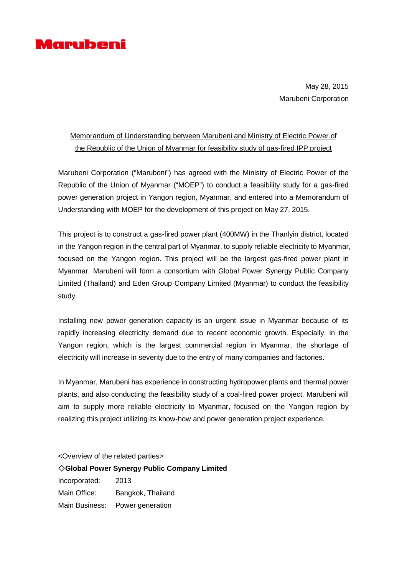

May 28, 2015 Marubeni Corporation

## Memorandum of Understanding between Marubeni and Ministry of Electric Power of the Republic of the Union of Myanmar for feasibility study of gas-fired IPP project

Marubeni Corporation ("Marubeni") has agreed with the Ministry of Electric Power of the Republic of the Union of Myanmar ("MOEP") to conduct a feasibility study for a gas-fired power generation project in Yangon region, Myanmar, and entered into a Memorandum of Understanding with MOEP for the development of this project on May 27, 2015.

This project is to construct a gas-fired power plant (400MW) in the Thanlyin district, located in the Yangon region in the central part of Myanmar, to supply reliable electricity to Myanmar, focused on the Yangon region. This project will be the largest gas-fired power plant in Myanmar. Marubeni will form a consortium with Global Power Synergy Public Company Limited (Thailand) and Eden Group Company Limited (Myanmar) to conduct the feasibility study.

Installing new power generation capacity is an urgent issue in Myanmar because of its rapidly increasing electricity demand due to recent economic growth. Especially, in the Yangon region, which is the largest commercial region in Myanmar, the shortage of electricity will increase in severity due to the entry of many companies and factories.

In Myanmar, Marubeni has experience in constructing hydropower plants and thermal power plants, and also conducting the feasibility study of a coal-fired power project. Marubeni will aim to supply more reliable electricity to Myanmar, focused on the Yangon region by realizing this project utilizing its know-how and power generation project experience.

<Overview of the related parties> ◇**Global Power Synergy Public Company Limited** Incorporated: 2013 Main Office: Bangkok, Thailand Main Business: Power generation